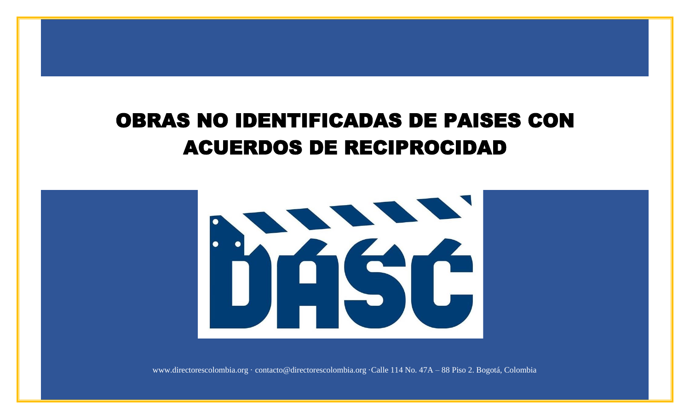## OBRAS NO IDENTIFICADAS DE PAISES CON S NO IDENTIFICADAS DE PAISES C<br>ACUERDOS DE RECIPROCIDAD



www.directorescolombia.org · contacto@directorescolombia.org ·Calle 114 No. 47A – 88 Piso 2. Bogotá, Colombia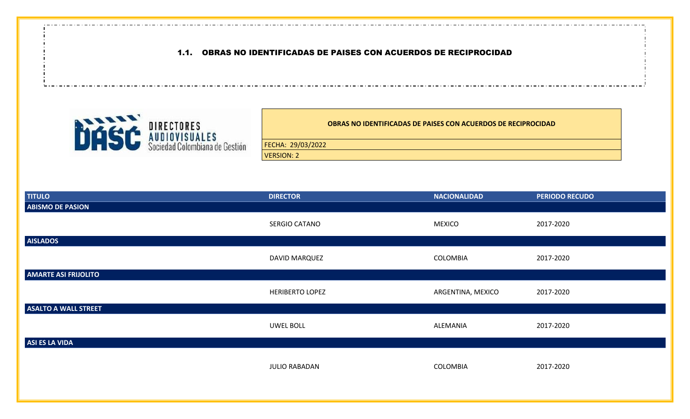## 1.1. OBRAS NO IDENTIFICADAS DE PAISES CON ACUERDOS DE RECIPROCIDAD



**OBRAS NO IDENTIFICADAS DE PAISES CON ACUERDOS DE RECIPROCIDAD**

FECHA: 29/03/2022

VERSION: 2

| <b>TITULO</b>               | <b>DIRECTOR</b>        | <b>NACIONALIDAD</b> | <b>PERIODO RECUDO</b> |
|-----------------------------|------------------------|---------------------|-----------------------|
| <b>ABISMO DE PASION</b>     |                        |                     |                       |
|                             | SERGIO CATANO          | <b>MEXICO</b>       | 2017-2020             |
| <b>AISLADOS</b>             |                        |                     |                       |
|                             | DAVID MARQUEZ          | COLOMBIA            | 2017-2020             |
| <b>AMARTE ASI FRIJOLITO</b> |                        |                     |                       |
|                             | <b>HERIBERTO LOPEZ</b> | ARGENTINA, MEXICO   | 2017-2020             |
| <b>ASALTO A WALL STREET</b> |                        |                     |                       |
|                             | <b>UWEL BOLL</b>       | ALEMANIA            | 2017-2020             |
| ASI ES LA VIDA              |                        |                     |                       |
|                             | <b>JULIO RABADAN</b>   | COLOMBIA            | 2017-2020             |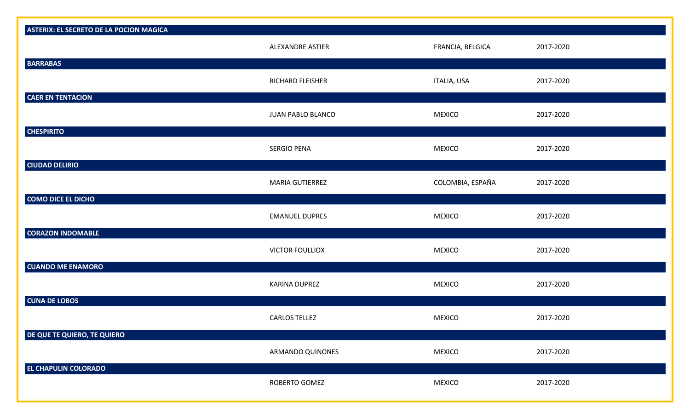| <b>ASTERIX: EL SECRETO DE LA POCION MAGICA</b> |                        |                  |           |
|------------------------------------------------|------------------------|------------------|-----------|
| <b>BARRABAS</b>                                | ALEXANDRE ASTIER       | FRANCIA, BELGICA | 2017-2020 |
|                                                | RICHARD FLEISHER       | ITALIA, USA      | 2017-2020 |
| <b>CAER EN TENTACION</b>                       | JUAN PABLO BLANCO      | <b>MEXICO</b>    | 2017-2020 |
| <b>CHESPIRITO</b>                              |                        |                  |           |
|                                                | <b>SERGIO PENA</b>     | <b>MEXICO</b>    | 2017-2020 |
| <b>CIUDAD DELIRIO</b>                          |                        |                  |           |
|                                                | MARIA GUTIERREZ        | COLOMBIA, ESPAÑA | 2017-2020 |
| <b>COMO DICE EL DICHO</b>                      |                        |                  |           |
|                                                | <b>EMANUEL DUPRES</b>  | <b>MEXICO</b>    | 2017-2020 |
| <b>CORAZON INDOMABLE</b>                       |                        |                  |           |
|                                                | <b>VICTOR FOULLIOX</b> | <b>MEXICO</b>    | 2017-2020 |
| <b>CUANDO ME ENAMORO</b>                       |                        |                  |           |
|                                                | KARINA DUPREZ          | <b>MEXICO</b>    | 2017-2020 |
| <b>CUNA DE LOBOS</b>                           |                        |                  |           |
|                                                | <b>CARLOS TELLEZ</b>   | <b>MEXICO</b>    | 2017-2020 |
| DE QUE TE QUIERO, TE QUIERO                    |                        |                  |           |
|                                                | ARMANDO QUINONES       | <b>MEXICO</b>    | 2017-2020 |
| <b>EL CHAPULIN COLORADO</b>                    |                        |                  |           |
|                                                | ROBERTO GOMEZ          | <b>MEXICO</b>    | 2017-2020 |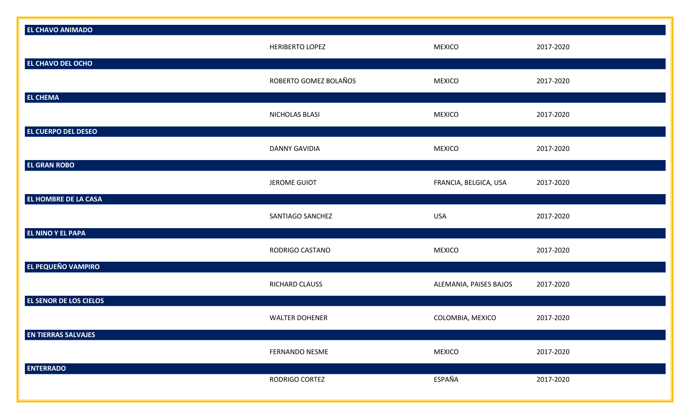| EL CHAVO ANIMADO                                      | <b>HERIBERTO LOPEZ</b> | <b>MEXICO</b>          | 2017-2020 |
|-------------------------------------------------------|------------------------|------------------------|-----------|
| EL CHAVO DEL OCHO                                     | ROBERTO GOMEZ BOLAÑOS  | <b>MEXICO</b>          | 2017-2020 |
| <b>EL CHEMA</b>                                       | NICHOLAS BLASI         | <b>MEXICO</b>          | 2017-2020 |
| EL CUERPO DEL DESEO                                   | <b>DANNY GAVIDIA</b>   | <b>MEXICO</b>          | 2017-2020 |
| EL GRAN ROBO                                          | <b>JEROME GUIOT</b>    | FRANCIA, BELGICA, USA  | 2017-2020 |
| EL HOMBRE DE LA CASA                                  | SANTIAGO SANCHEZ       | <b>USA</b>             | 2017-2020 |
| <b>EL NINO Y EL PAPA</b><br><b>EL PEQUEÑO VAMPIRO</b> | RODRIGO CASTANO        | <b>MEXICO</b>          | 2017-2020 |
| EL SENOR DE LOS CIELOS                                | RICHARD CLAUSS         | ALEMANIA, PAISES BAJOS | 2017-2020 |
| <b>EN TIERRAS SALVAJES</b>                            | <b>WALTER DOHENER</b>  | COLOMBIA, MEXICO       | 2017-2020 |
| <b>ENTERRADO</b>                                      | FERNANDO NESME         | <b>MEXICO</b>          | 2017-2020 |
|                                                       | RODRIGO CORTEZ         | ESPAÑA                 | 2017-2020 |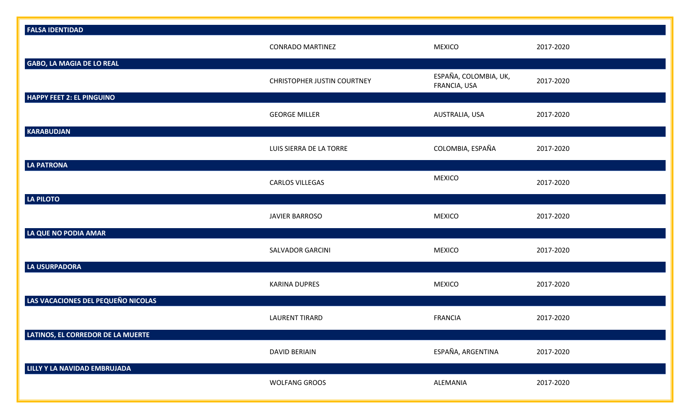| <b>FALSA IDENTIDAD</b>             |                                    |                                       |           |
|------------------------------------|------------------------------------|---------------------------------------|-----------|
|                                    | <b>CONRADO MARTINEZ</b>            | <b>MEXICO</b>                         | 2017-2020 |
| <b>GABO, LA MAGIA DE LO REAL</b>   | <b>CHRISTOPHER JUSTIN COURTNEY</b> | ESPAÑA, COLOMBIA, UK,<br>FRANCIA, USA | 2017-2020 |
| <b>HAPPY FEET 2: EL PINGUINO</b>   | <b>GEORGE MILLER</b>               | AUSTRALIA, USA                        | 2017-2020 |
| <b>KARABUDJAN</b>                  | LUIS SIERRA DE LA TORRE            | COLOMBIA, ESPAÑA                      | 2017-2020 |
| <b>LA PATRONA</b>                  | <b>CARLOS VILLEGAS</b>             | <b>MEXICO</b>                         | 2017-2020 |
| LA PILOTO                          | <b>JAVIER BARROSO</b>              | <b>MEXICO</b>                         | 2017-2020 |
| LA QUE NO PODIA AMAR               | <b>SALVADOR GARCINI</b>            | <b>MEXICO</b>                         | 2017-2020 |
| LA USURPADORA                      | <b>KARINA DUPRES</b>               | <b>MEXICO</b>                         | 2017-2020 |
| LAS VACACIONES DEL PEQUEÑO NICOLAS | <b>LAURENT TIRARD</b>              | <b>FRANCIA</b>                        | 2017-2020 |
| LATINOS, EL CORREDOR DE LA MUERTE  | <b>DAVID BERIAIN</b>               | ESPAÑA, ARGENTINA                     | 2017-2020 |
| LILLY Y LA NAVIDAD EMBRUJADA       | <b>WOLFANG GROOS</b>               | ALEMANIA                              | 2017-2020 |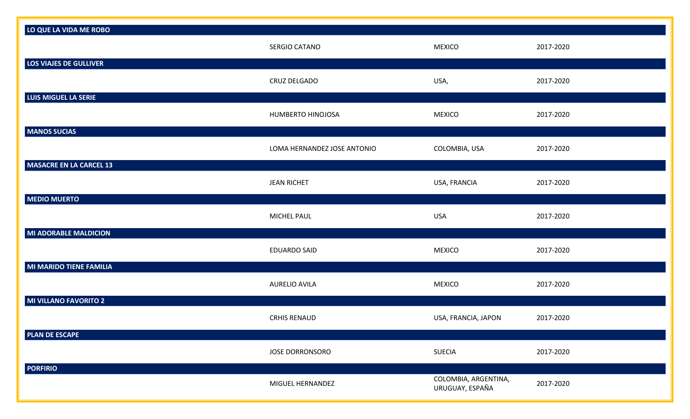| LO QUE LA VIDA ME ROBO         |                             |                                         |           |
|--------------------------------|-----------------------------|-----------------------------------------|-----------|
|                                | SERGIO CATANO               | <b>MEXICO</b>                           | 2017-2020 |
| LOS VIAJES DE GULLIVER         |                             |                                         |           |
|                                | CRUZ DELGADO                | USA,                                    | 2017-2020 |
| LUIS MIGUEL LA SERIE           |                             |                                         |           |
|                                | HUMBERTO HINOJOSA           | <b>MEXICO</b>                           | 2017-2020 |
| <b>MANOS SUCIAS</b>            |                             |                                         |           |
|                                | LOMA HERNANDEZ JOSE ANTONIO | COLOMBIA, USA                           | 2017-2020 |
| <b>MASACRE EN LA CARCEL 13</b> |                             |                                         |           |
|                                | <b>JEAN RICHET</b>          | USA, FRANCIA                            | 2017-2020 |
| <b>MEDIO MUERTO</b>            |                             |                                         |           |
|                                | <b>MICHEL PAUL</b>          | USA                                     | 2017-2020 |
| <b>MI ADORABLE MALDICION</b>   |                             |                                         |           |
|                                | <b>EDUARDO SAID</b>         | <b>MEXICO</b>                           | 2017-2020 |
| MI MARIDO TIENE FAMILIA        |                             |                                         |           |
|                                |                             |                                         |           |
|                                | <b>AURELIO AVILA</b>        | <b>MEXICO</b>                           | 2017-2020 |
| <b>MI VILLANO FAVORITO 2</b>   |                             |                                         |           |
|                                | <b>CRHIS RENAUD</b>         | USA, FRANCIA, JAPON                     | 2017-2020 |
| <b>PLAN DE ESCAPE</b>          |                             |                                         |           |
|                                | <b>JOSE DORRONSORO</b>      | SUECIA                                  | 2017-2020 |
| <b>PORFIRIO</b>                |                             |                                         |           |
|                                | MIGUEL HERNANDEZ            | COLOMBIA, ARGENTINA,<br>URUGUAY, ESPAÑA | 2017-2020 |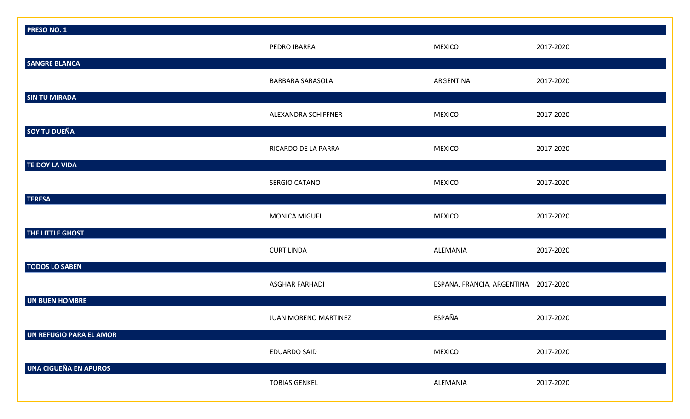| <b>PRESO NO. 1</b>           |                         |                                      |           |
|------------------------------|-------------------------|--------------------------------------|-----------|
|                              | PEDRO IBARRA            | <b>MEXICO</b>                        | 2017-2020 |
| <b>SANGRE BLANCA</b>         |                         |                                      |           |
|                              | <b>BARBARA SARASOLA</b> | ARGENTINA                            | 2017-2020 |
| <b>SIN TU MIRADA</b>         |                         |                                      |           |
|                              | ALEXANDRA SCHIFFNER     | <b>MEXICO</b>                        | 2017-2020 |
| <b>SOY TU DUEÑA</b>          |                         |                                      |           |
|                              | RICARDO DE LA PARRA     | <b>MEXICO</b>                        | 2017-2020 |
| TE DOY LA VIDA               |                         |                                      |           |
|                              | SERGIO CATANO           | <b>MEXICO</b>                        | 2017-2020 |
| <b>TERESA</b>                |                         |                                      |           |
|                              | <b>MONICA MIGUEL</b>    | <b>MEXICO</b>                        | 2017-2020 |
| THE LITTLE GHOST             |                         |                                      |           |
|                              | <b>CURT LINDA</b>       | ALEMANIA                             | 2017-2020 |
| <b>TODOS LO SABEN</b>        |                         |                                      |           |
|                              | <b>ASGHAR FARHADI</b>   | ESPAÑA, FRANCIA, ARGENTINA 2017-2020 |           |
| UN BUEN HOMBRE               |                         |                                      |           |
|                              | JUAN MORENO MARTINEZ    | ESPAÑA                               | 2017-2020 |
| UN REFUGIO PARA EL AMOR      |                         |                                      |           |
|                              | <b>EDUARDO SAID</b>     | <b>MEXICO</b>                        | 2017-2020 |
| <b>UNA CIGUEÑA EN APUROS</b> |                         |                                      |           |
|                              | <b>TOBIAS GENKEL</b>    | ALEMANIA                             | 2017-2020 |